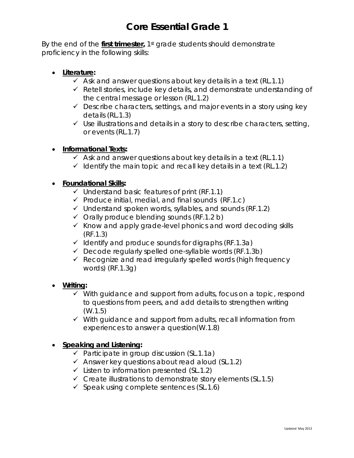By the end of the **first trimester,** 1st grade students should demonstrate proficiency in the following skills:

- **Literature:**
	- $\checkmark$  Ask and answer questions about key details in a text (RL.1.1)
	- $\checkmark$  Retell stories, include key details, and demonstrate understanding of the central message or lesson (RL.1.2)
	- $\checkmark$  Describe characters, settings, and major events in a story using key details (RL.1.3)
	- $\checkmark$  Use illustrations and details in a story to describe characters, setting, or events (RL.1.7)

### • **Informational Texts:**

- $\checkmark$  Ask and answer questions about key details in a text (RL.1.1)
- $\checkmark$  Identify the main topic and recall key details in a text (RL.1.2)

#### • **Foundational Skills:**

- $\checkmark$  Understand basic features of print (RF.1.1)
- $\checkmark$  Produce initial, medial, and final sounds (RF.1.c)
- $\checkmark$  Understand spoken words, syllables, and sounds (RF.1.2)
- $\checkmark$  Orally produce blending sounds (RF.1.2 b)
- $\checkmark$  Know and apply grade-level phonics and word decoding skills (RF.1.3)
- $\checkmark$  Identify and produce sounds for digraphs (RF.1.3a)
- $\checkmark$  Decode regularly spelled one-syllable words (RF.1.3b)
- $\checkmark$  Recognize and read irregularly spelled words (high frequency words) (RF.1.3g)

#### • **Writing:**

- $\checkmark$  With guidance and support from adults, focus on a topic, respond to questions from peers, and add details to strengthen writing (W.1.5)
- $\checkmark$  With guidance and support from adults, recall information from experiences to answer a question(W.1.8)

#### • **Speaking and Listening:**

- $\checkmark$  Participate in group discussion (SL.1.1a)
- $\checkmark$  Answer key questions about read aloud (SL.1.2)
- $\checkmark$  Listen to information presented (SL.1.2)
- $\checkmark$  Create illustrations to demonstrate story elements (SL.1.5)
- $\checkmark$  Speak using complete sentences (SL.1.6)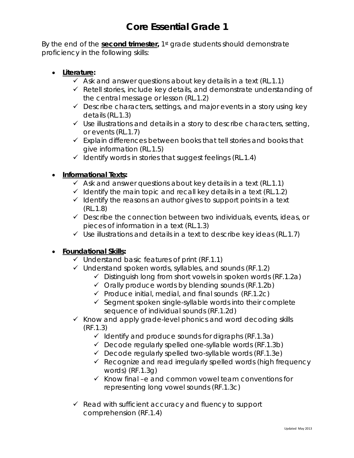By the end of the **second trimester,** 1st grade students should demonstrate proficiency in the following skills:

- **Literature:**
	- $\checkmark$  Ask and answer questions about key details in a text (RL.1.1)
	- $\checkmark$  Retell stories, include key details, and demonstrate understanding of the central message or lesson (RL.1.2)
	- $\checkmark$  Describe characters, settings, and major events in a story using key details (RL.1.3)
	- $\checkmark$  Use illustrations and details in a story to describe characters, setting, or events (RL.1.7)
	- $\checkmark$  Explain differences between books that tell stories and books that give information (RL.1.5)
	- $\checkmark$  Identify words in stories that suggest feelings (RL.1.4)

## • **Informational Texts:**

- $\checkmark$  Ask and answer questions about key details in a text (RL.1.1)
- $\checkmark$  Identify the main topic and recall key details in a text (RL.1.2)
- $\checkmark$  Identify the reasons an author gives to support points in a text (RL.1.8)
- $\checkmark$  Describe the connection between two individuals, events, ideas, or pieces of information in a text (RL.1.3)
- $\checkmark$  Use illustrations and details in a text to describe key ideas (RL.1.7)

### • **Foundational Skills:**

- $\checkmark$  Understand basic features of print (RF.1.1)
- $\checkmark$  Understand spoken words, syllables, and sounds (RF.1.2)
	- $\checkmark$  Distinguish long from short vowels in spoken words (RF.1.2a)
	- $\checkmark$  Orally produce words by blending sounds (RF.1.2b)
	- $\checkmark$  Produce initial, medial, and final sounds (RF.1.2c)
	- $\checkmark$  Segment spoken single-syllable words into their complete sequence of individual sounds (RF.1.2d)
- $\checkmark$  Know and apply grade-level phonics and word decoding skills (RF.1.3)
	- $\checkmark$  Identify and produce sounds for digraphs (RF.1.3a)
	- $\checkmark$  Decode regularly spelled one-syllable words (RF.1.3b)
	- $\checkmark$  Decode regularly spelled two-syllable words (RF.1.3e)
	- $\checkmark$  Recognize and read irregularly spelled words (high frequency words) (RF.1.3g)
	- $\checkmark$  Know final –e and common vowel team conventions for representing long vowel sounds (RF.1.3c)
- $\checkmark$  Read with sufficient accuracy and fluency to support comprehension (RF.1.4)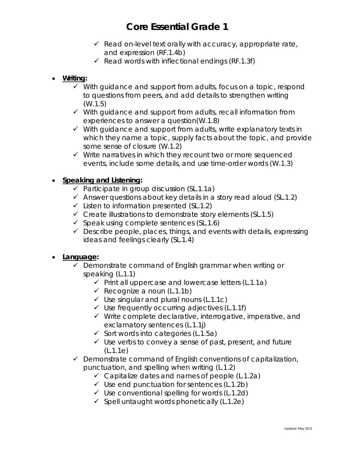- $\checkmark$  Read on-level text orally with accuracy, appropriate rate, and expression (RF.1.4b)
- Read words with inflectional endings (RF.1.3f)
- **Writing:**
	- $\checkmark$  With guidance and support from adults, focus on a topic, respond to questions from peers, and add details to strengthen writing (W.1.5)
	- $\checkmark$  With guidance and support from adults, recall information from experiences to answer a question(W.1.8)
	- $\checkmark$  With guidance and support from adults, write explanatory texts in which they name a topic, supply facts about the topic, and provide some sense of closure (W.1.2)
	- $\checkmark$  Write narratives in which they recount two or more sequenced events, include some details, and use time-order words (W.1.3)

## • **Speaking and Listening:**

- $\checkmark$  Participate in group discussion (SL.1.1a)
- $\checkmark$  Answer questions about key details in a story read aloud (SL.1.2)
- $\checkmark$  Listen to information presented (SL.1.2)
- $\checkmark$  Create illustrations to demonstrate story elements (SL.1.5)
- $\checkmark$  Speak using complete sentences (SL.1.6)
- $\checkmark$  Describe people, places, things, and events with details, expressing ideas and feelings clearly (SL.1.4)

#### • **Language:**

- $\checkmark$  Demonstrate command of English grammar when writing or speaking (L.1.1)
	- $\checkmark$  Print all uppercase and lowercase letters (L.1.1a)
	- $\checkmark$  Recognize a noun (L.1.1b)
	- $\checkmark$  Use singular and plural nouns (L.1.1c)
	- $\checkmark$  Use frequently occurring adjectives (L.1.1f)
	- $\checkmark$  Write complete declarative, interrogative, imperative, and exclamatory sentences (L.1.1j)
	- $\checkmark$  Sort words into categories (L.1.5a)
	- $\checkmark$  Use verbs to convey a sense of past, present, and future (L.1.1e)
- $\checkmark$  Demonstrate command of English conventions of capitalization, punctuation, and spelling when writing (L.1.2)
	- $\checkmark$  Capitalize dates and names of people (L.1.2a)
	- $\checkmark$  Use end punctuation for sentences (L.1.2b)
	- $\checkmark$  Use conventional spelling for words (L.1.2d)
	- $\checkmark$  Spell untaught words phonetically (L.1.2e)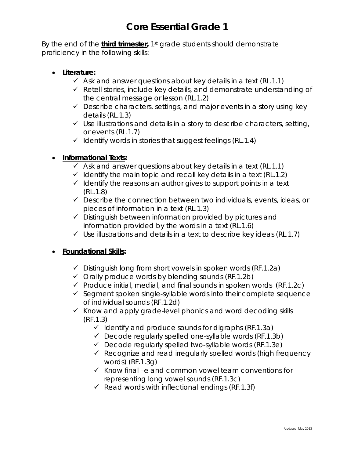By the end of the **third trimester,** 1st grade students should demonstrate proficiency in the following skills:

- **Literature:**
	- $\checkmark$  Ask and answer questions about key details in a text (RL.1.1)
	- $\checkmark$  Retell stories, include key details, and demonstrate understanding of the central message or lesson (RL.1.2)
	- $\checkmark$  Describe characters, settings, and major events in a story using key details (RL.1.3)
	- $\checkmark$  Use illustrations and details in a story to describe characters, setting, or events (RL.1.7)
	- $\checkmark$  Identify words in stories that suggest feelings (RL.1.4)

## • **Informational Texts:**

- $\checkmark$  Ask and answer questions about key details in a text (RL.1.1)
- $\checkmark$  Identify the main topic and recall key details in a text (RL.1.2)
- $\checkmark$  Identify the reasons an author gives to support points in a text (RL.1.8)
- $\checkmark$  Describe the connection between two individuals, events, ideas, or pieces of information in a text (RL.1.3)
- $\checkmark$  Distinguish between information provided by pictures and information provided by the words in a text (RL.1.6)
- $\checkmark$  Use illustrations and details in a text to describe key ideas (RL.1.7)

## • **Foundational Skills:**

- $\checkmark$  Distinguish long from short vowels in spoken words (RF.1.2a)
- $\checkmark$  Orally produce words by blending sounds (RF.1.2b)
- $\checkmark$  Produce initial, medial, and final sounds in spoken words (RF.1.2c)
- $\checkmark$  Segment spoken single-syllable words into their complete sequence of individual sounds (RF.1.2d)
- $\checkmark$  Know and apply grade-level phonics and word decoding skills (RF.1.3)
	- $\checkmark$  Identify and produce sounds for digraphs (RF.1.3a)
	- $\checkmark$  Decode regularly spelled one-syllable words (RF.1.3b)
	- $\checkmark$  Decode regularly spelled two-syllable words (RF.1.3e)
	- $\checkmark$  Recognize and read irregularly spelled words (high frequency words) (RF.1.3g)
	- $\checkmark$  Know final –e and common vowel team conventions for representing long vowel sounds (RF.1.3c)
	- $\checkmark$  Read words with inflectional endings (RF.1.3f)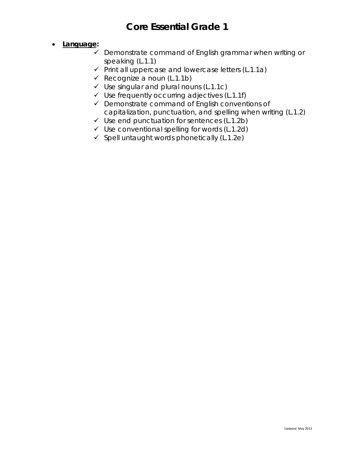### • **Language:**

- $\checkmark$  Demonstrate command of English grammar when writing or speaking (L.1.1)
- $\checkmark$  Print all uppercase and lowercase letters (L.1.1a)
- $\checkmark$  Recognize a noun (L.1.1b)
- $\checkmark$  Use singular and plural nouns (L.1.1c)
- $\checkmark$  Use frequently occurring adjectives (L.1.1f)
- $\checkmark$  Demonstrate command of English conventions of capitalization, punctuation, and spelling when writing (L.1.2)
- $\checkmark$  Use end punctuation for sentences (L.1.2b)
- $\checkmark$  Use conventional spelling for words (L.1.2d)
- $\checkmark$  Spell untaught words phonetically (L.1.2e)